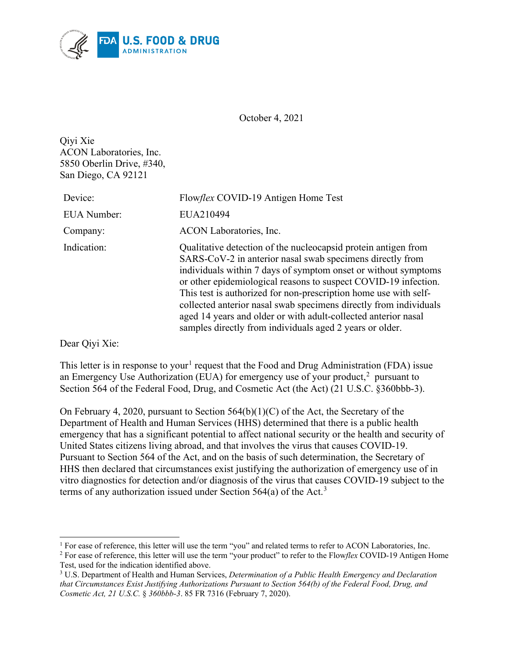

October 4, 2021

Qiyi Xie ACON Laboratories, Inc. 5850 Oberlin Drive, #340, San Diego, CA 92121

| Device:     | Flowflex COVID-19 Antigen Home Test                                                                                                                                                                                                                                                                                                                                                                                                                                                                                                     |
|-------------|-----------------------------------------------------------------------------------------------------------------------------------------------------------------------------------------------------------------------------------------------------------------------------------------------------------------------------------------------------------------------------------------------------------------------------------------------------------------------------------------------------------------------------------------|
| EUA Number: | EUA210494                                                                                                                                                                                                                                                                                                                                                                                                                                                                                                                               |
| Company:    | ACON Laboratories, Inc.                                                                                                                                                                                                                                                                                                                                                                                                                                                                                                                 |
| Indication: | Qualitative detection of the nucleocapsid protein antigen from<br>SARS-CoV-2 in anterior nasal swab specimens directly from<br>individuals within 7 days of symptom onset or without symptoms<br>or other epidemiological reasons to suspect COVID-19 infection.<br>This test is authorized for non-prescription home use with self-<br>collected anterior nasal swab specimens directly from individuals<br>aged 14 years and older or with adult-collected anterior nasal<br>samples directly from individuals aged 2 years or older. |
|             |                                                                                                                                                                                                                                                                                                                                                                                                                                                                                                                                         |

Dear Qiyi Xie:

This letter is in response to your<sup>[1](#page-0-0)</sup> request that the Food and Drug Administration (FDA) issue an Emergency Use Authorization (EUA) for emergency use of your product, $^2$  $^2$  pursuant to Section 564 of the Federal Food, Drug, and Cosmetic Act (the Act) (21 U.S.C. §360bbb-3).

On February 4, 2020, pursuant to Section 564(b)(1)(C) of the Act, the Secretary of the Department of Health and Human Services (HHS) determined that there is a public health emergency that has a significant potential to affect national security or the health and security of United States citizens living abroad, and that involves the virus that causes COVID-19. Pursuant to Section 564 of the Act, and on the basis of such determination, the Secretary of HHS then declared that circumstances exist justifying the authorization of emergency use of in vitro diagnostics for detection and/or diagnosis of the virus that causes COVID-19 subject to the terms of any authorization issued under Section  $564(a)$  of the Act.<sup>[3](#page-0-2)</sup>

<span id="page-0-0"></span><sup>&</sup>lt;sup>1</sup> For ease of reference, this letter will use the term "you" and related terms to refer to ACON Laboratories, Inc.

<span id="page-0-1"></span><sup>2</sup> For ease of reference, this letter will use the term "your product" to refer to the Flow*flex* COVID-19 Antigen Home Test, used for the indication identified above.

<span id="page-0-2"></span><sup>3</sup> U.S. Department of Health and Human Services, *Determination of a Public Health Emergency and Declaration that Circumstances Exist Justifying Authorizations Pursuant to Section 564(b) of the Federal Food, Drug, and Cosmetic Act, 21 U.S.C.* § *360bbb-3*. 85 FR 7316 (February 7, 2020).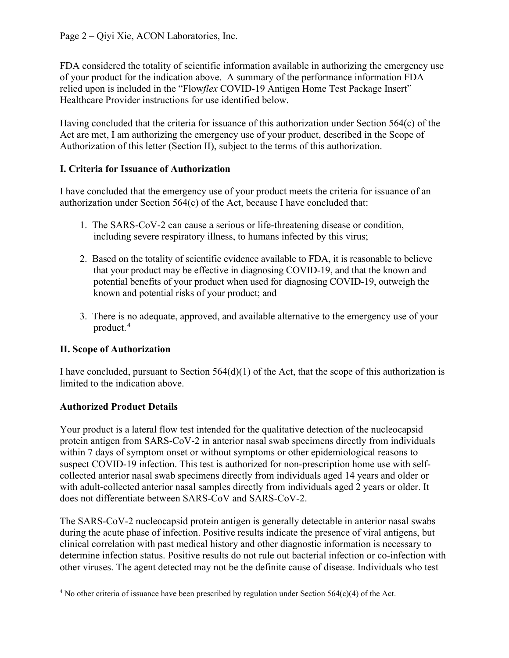FDA considered the totality of scientific information available in authorizing the emergency use of your product for the indication above. A summary of the performance information FDA relied upon is included in the "Flow*flex* COVID-19 Antigen Home Test Package Insert" Healthcare Provider instructions for use identified below.

Having concluded that the criteria for issuance of this authorization under Section 564(c) of the Act are met, I am authorizing the emergency use of your product, described in the Scope of Authorization of this letter (Section II), subject to the terms of this authorization.

## **I. Criteria for Issuance of Authorization**

I have concluded that the emergency use of your product meets the criteria for issuance of an authorization under Section 564(c) of the Act, because I have concluded that:

- 1. The SARS-CoV-2 can cause a serious or life-threatening disease or condition, including severe respiratory illness, to humans infected by this virus;
- 2. Based on the totality of scientific evidence available to FDA, it is reasonable to believe that your product may be effective in diagnosing COVID-19, and that the known and potential benefits of your product when used for diagnosing COVID-19, outweigh the known and potential risks of your product; and
- 3. There is no adequate, approved, and available alternative to the emergency use of your product. [4](#page-1-0)

# **II. Scope of Authorization**

I have concluded, pursuant to Section 564(d)(1) of the Act, that the scope of this authorization is limited to the indication above.

# **Authorized Product Details**

Your product is a lateral flow test intended for the qualitative detection of the nucleocapsid protein antigen from SARS-CoV-2 in anterior nasal swab specimens directly from individuals within 7 days of symptom onset or without symptoms or other epidemiological reasons to suspect COVID-19 infection. This test is authorized for non-prescription home use with selfcollected anterior nasal swab specimens directly from individuals aged 14 years and older or with adult-collected anterior nasal samples directly from individuals aged 2 years or older. It does not differentiate between SARS-CoV and SARS-CoV-2.

The SARS-CoV-2 nucleocapsid protein antigen is generally detectable in anterior nasal swabs during the acute phase of infection. Positive results indicate the presence of viral antigens, but clinical correlation with past medical history and other diagnostic information is necessary to determine infection status. Positive results do not rule out bacterial infection or co-infection with other viruses. The agent detected may not be the definite cause of disease. Individuals who test

<span id="page-1-0"></span><sup>&</sup>lt;sup>4</sup> No other criteria of issuance have been prescribed by regulation under Section  $564(c)(4)$  of the Act.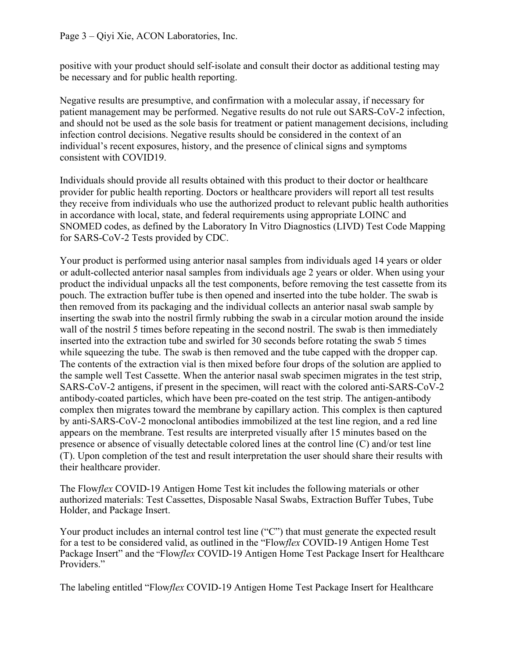positive with your product should self-isolate and consult their doctor as additional testing may be necessary and for public health reporting.

Negative results are presumptive, and confirmation with a molecular assay, if necessary for patient management may be performed. Negative results do not rule out SARS-CoV-2 infection, and should not be used as the sole basis for treatment or patient management decisions, including infection control decisions. Negative results should be considered in the context of an individual's recent exposures, history, and the presence of clinical signs and symptoms consistent with COVID19.

Individuals should provide all results obtained with this product to their doctor or healthcare provider for public health reporting. Doctors or healthcare providers will report all test results they receive from individuals who use the authorized product to relevant public health authorities in accordance with local, state, and federal requirements using appropriate LOINC and SNOMED codes, as defined by the Laboratory In Vitro Diagnostics (LIVD) Test Code Mapping for SARS-CoV-2 Tests provided by CDC.

Your product is performed using anterior nasal samples from individuals aged 14 years or older or adult-collected anterior nasal samples from individuals age 2 years or older. When using your product the individual unpacks all the test components, before removing the test cassette from its pouch. The extraction buffer tube is then opened and inserted into the tube holder. The swab is then removed from its packaging and the individual collects an anterior nasal swab sample by inserting the swab into the nostril firmly rubbing the swab in a circular motion around the inside wall of the nostril 5 times before repeating in the second nostril. The swab is then immediately inserted into the extraction tube and swirled for 30 seconds before rotating the swab 5 times while squeezing the tube. The swab is then removed and the tube capped with the dropper cap. The contents of the extraction vial is then mixed before four drops of the solution are applied to the sample well Test Cassette. When the anterior nasal swab specimen migrates in the test strip, SARS-CoV-2 antigens, if present in the specimen, will react with the colored anti-SARS-CoV-2 antibody-coated particles, which have been pre-coated on the test strip. The antigen-antibody complex then migrates toward the membrane by capillary action. This complex is then captured by anti-SARS-CoV-2 monoclonal antibodies immobilized at the test line region, and a red line appears on the membrane. Test results are interpreted visually after 15 minutes based on the presence or absence of visually detectable colored lines at the control line (C) and/or test line (T). Upon completion of the test and result interpretation the user should share their results with their healthcare provider.

The Flow*flex* COVID-19 Antigen Home Test kit includes the following materials or other authorized materials: Test Cassettes, Disposable Nasal Swabs, Extraction Buffer Tubes, Tube Holder, and Package Insert.

Your product includes an internal control test line ("C") that must generate the expected result for a test to be considered valid, as outlined in the "Flow*flex* COVID-19 Antigen Home Test Package Insert" and the "Flow*flex* COVID-19 Antigen Home Test Package Insert for Healthcare Providers."

The labeling entitled "Flow*flex* COVID-19 Antigen Home Test Package Insert for Healthcare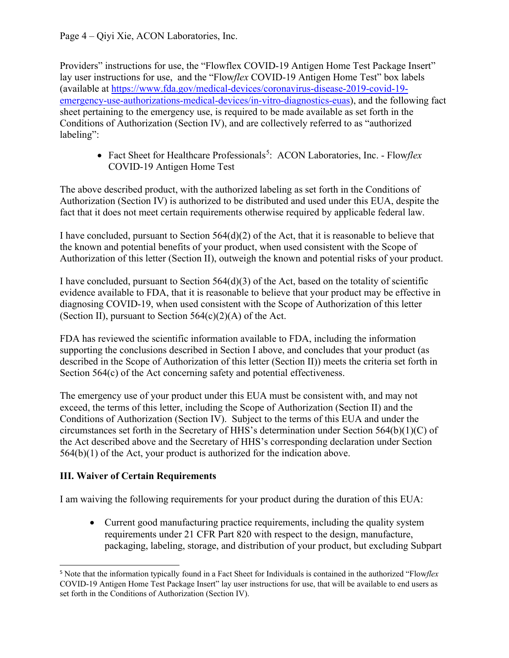Providers" instructions for use, the "Flowflex COVID-19 Antigen Home Test Package Insert" lay user instructions for use, and the "Flow*flex* COVID-19 Antigen Home Test" box labels (available at [https://www.fda.gov/medical-devices/coronavirus-disease-2019-covid-19](https://www.fda.gov/medical-devices/coronavirus-disease-2019-covid-19-emergency-use-authorizations-medical-devices/in-vitro-diagnostics-euas) [emergency-use-authorizations-medical-devices/in-vitro-diagnostics-euas\)](https://www.fda.gov/medical-devices/coronavirus-disease-2019-covid-19-emergency-use-authorizations-medical-devices/in-vitro-diagnostics-euas), and the following fact sheet pertaining to the emergency use, is required to be made available as set forth in the Conditions of Authorization (Section IV), and are collectively referred to as "authorized labeling":

• Fact Sheet for Healthcare Professionals<sup>[5](#page-3-0)</sup>: ACON Laboratories, Inc. - Flowflex COVID-19 Antigen Home Test

The above described product, with the authorized labeling as set forth in the Conditions of Authorization (Section IV) is authorized to be distributed and used under this EUA, despite the fact that it does not meet certain requirements otherwise required by applicable federal law.

I have concluded, pursuant to Section 564(d)(2) of the Act, that it is reasonable to believe that the known and potential benefits of your product, when used consistent with the Scope of Authorization of this letter (Section II), outweigh the known and potential risks of your product.

I have concluded, pursuant to Section  $564(d)(3)$  of the Act, based on the totality of scientific evidence available to FDA, that it is reasonable to believe that your product may be effective in diagnosing COVID-19, when used consistent with the Scope of Authorization of this letter (Section II), pursuant to Section  $564(c)(2)(A)$  of the Act.

FDA has reviewed the scientific information available to FDA, including the information supporting the conclusions described in Section I above, and concludes that your product (as described in the Scope of Authorization of this letter (Section II)) meets the criteria set forth in Section 564(c) of the Act concerning safety and potential effectiveness.

The emergency use of your product under this EUA must be consistent with, and may not exceed, the terms of this letter, including the Scope of Authorization (Section II) and the Conditions of Authorization (Section IV). Subject to the terms of this EUA and under the circumstances set forth in the Secretary of HHS's determination under Section 564(b)(1)(C) of the Act described above and the Secretary of HHS's corresponding declaration under Section 564(b)(1) of the Act, your product is authorized for the indication above.

### **III. Waiver of Certain Requirements**

I am waiving the following requirements for your product during the duration of this EUA:

• Current good manufacturing practice requirements, including the quality system requirements under 21 CFR Part 820 with respect to the design, manufacture, packaging, labeling, storage, and distribution of your product, but excluding Subpart

<span id="page-3-0"></span><sup>5</sup> Note that the information typically found in a Fact Sheet for Individuals is contained in the authorized "Flow*flex*  COVID-19 Antigen Home Test Package Insert" lay user instructions for use, that will be available to end users as set forth in the Conditions of Authorization (Section IV).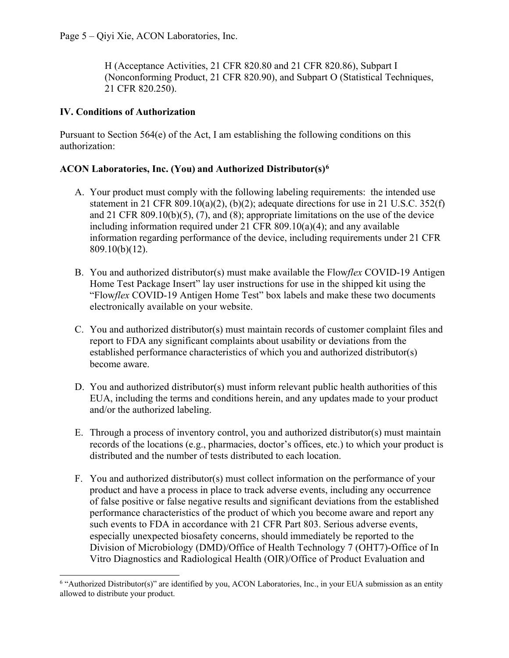H (Acceptance Activities, 21 CFR 820.80 and 21 CFR 820.86), Subpart I (Nonconforming Product, 21 CFR 820.90), and Subpart O (Statistical Techniques, 21 CFR 820.250).

### **IV. Conditions of Authorization**

Pursuant to Section  $564(e)$  of the Act, I am establishing the following conditions on this authorization:

### **ACON Laboratories, Inc. (You) and Authorized Distributor(s)[6](#page-4-0)**

- A. Your product must comply with the following labeling requirements: the intended use statement in 21 CFR 809.10(a)(2), (b)(2); adequate directions for use in 21 U.S.C.  $352(f)$ and 21 CFR 809.10(b)(5), (7), and (8); appropriate limitations on the use of the device including information required under 21 CFR 809.10(a)(4); and any available information regarding performance of the device, including requirements under 21 CFR 809.10(b)(12).
- B. You and authorized distributor(s) must make available the Flow*flex* COVID-19 Antigen Home Test Package Insert" lay user instructions for use in the shipped kit using the "Flow*flex* COVID-19 Antigen Home Test" box labels and make these two documents electronically available on your website.
- C. You and authorized distributor(s) must maintain records of customer complaint files and report to FDA any significant complaints about usability or deviations from the established performance characteristics of which you and authorized distributor(s) become aware.
- D. You and authorized distributor(s) must inform relevant public health authorities of this EUA, including the terms and conditions herein, and any updates made to your product and/or the authorized labeling.
- E. Through a process of inventory control, you and authorized distributor(s) must maintain records of the locations (e.g., pharmacies, doctor's offices, etc.) to which your product is distributed and the number of tests distributed to each location.
- F. You and authorized distributor(s) must collect information on the performance of your product and have a process in place to track adverse events, including any occurrence of false positive or false negative results and significant deviations from the established performance characteristics of the product of which you become aware and report any such events to FDA in accordance with 21 CFR Part 803. Serious adverse events, especially unexpected biosafety concerns, should immediately be reported to the Division of Microbiology (DMD)/Office of Health Technology 7 (OHT7)-Office of In Vitro Diagnostics and Radiological Health (OIR)/Office of Product Evaluation and

<span id="page-4-0"></span><sup>&</sup>lt;sup>6</sup> "Authorized Distributor(s)" are identified by you, ACON Laboratories, Inc., in your EUA submission as an entity allowed to distribute your product.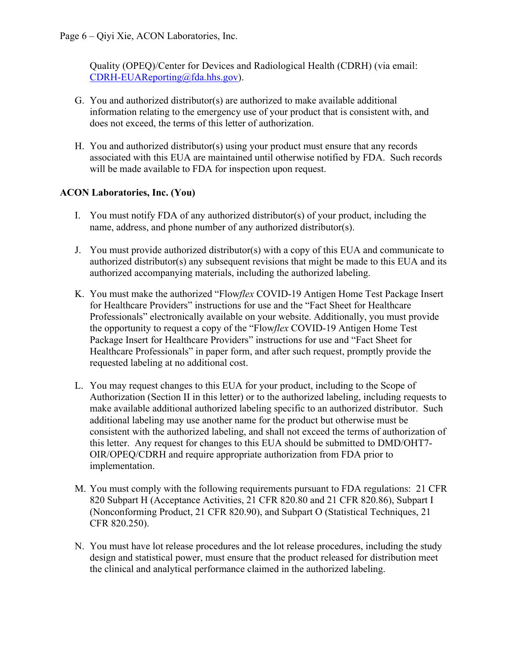Quality (OPEQ)/Center for Devices and Radiological Health (CDRH) (via email: [CDRH-EUAReporting@fda.hhs.gov\)](mailto:CDRH-EUAReporting@fda.hhs.gov).

- G. You and authorized distributor(s) are authorized to make available additional information relating to the emergency use of your product that is consistent with, and does not exceed, the terms of this letter of authorization.
- H. You and authorized distributor(s) using your product must ensure that any records associated with this EUA are maintained until otherwise notified by FDA. Such records will be made available to FDA for inspection upon request.

### **ACON Laboratories, Inc. (You)**

- I. You must notify FDA of any authorized distributor(s) of your product, including the name, address, and phone number of any authorized distributor(s).
- J. You must provide authorized distributor(s) with a copy of this EUA and communicate to authorized distributor(s) any subsequent revisions that might be made to this EUA and its authorized accompanying materials, including the authorized labeling.
- K. You must make the authorized "Flow*flex* COVID-19 Antigen Home Test Package Insert for Healthcare Providers" instructions for use and the "Fact Sheet for Healthcare Professionals" electronically available on your website. Additionally, you must provide the opportunity to request a copy of the "Flow*flex* COVID-19 Antigen Home Test Package Insert for Healthcare Providers" instructions for use and "Fact Sheet for Healthcare Professionals" in paper form, and after such request, promptly provide the requested labeling at no additional cost.
- L. You may request changes to this EUA for your product, including to the Scope of Authorization (Section II in this letter) or to the authorized labeling, including requests to make available additional authorized labeling specific to an authorized distributor. Such additional labeling may use another name for the product but otherwise must be consistent with the authorized labeling, and shall not exceed the terms of authorization of this letter. Any request for changes to this EUA should be submitted to DMD/OHT7- OIR/OPEQ/CDRH and require appropriate authorization from FDA prior to implementation.
- M. You must comply with the following requirements pursuant to FDA regulations: 21 CFR 820 Subpart H (Acceptance Activities, 21 CFR 820.80 and 21 CFR 820.86), Subpart I (Nonconforming Product, 21 CFR 820.90), and Subpart O (Statistical Techniques, 21 CFR 820.250).
- N. You must have lot release procedures and the lot release procedures, including the study design and statistical power, must ensure that the product released for distribution meet the clinical and analytical performance claimed in the authorized labeling.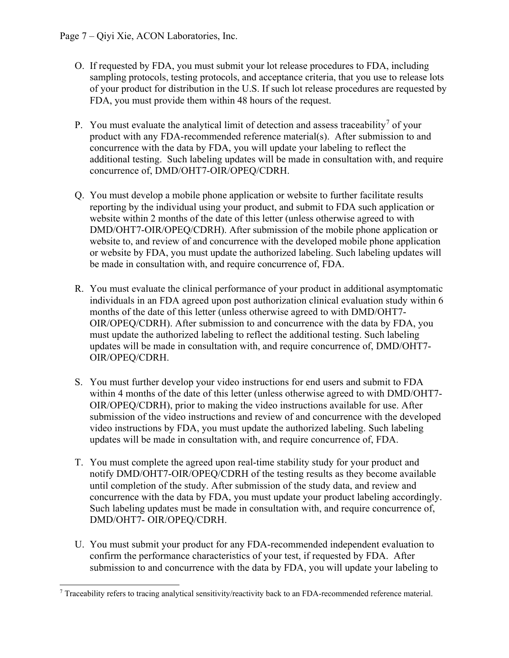- O. If requested by FDA, you must submit your lot release procedures to FDA, including sampling protocols, testing protocols, and acceptance criteria, that you use to release lots of your product for distribution in the U.S. If such lot release procedures are requested by FDA, you must provide them within 48 hours of the request.
- P. You must evaluate the analytical limit of detection and assess traceability<sup>[7](#page-6-0)</sup> of your product with any FDA-recommended reference material(s). After submission to and concurrence with the data by FDA, you will update your labeling to reflect the additional testing. Such labeling updates will be made in consultation with, and require concurrence of, DMD/OHT7-OIR/OPEQ/CDRH.
- Q. You must develop a mobile phone application or website to further facilitate results reporting by the individual using your product, and submit to FDA such application or website within 2 months of the date of this letter (unless otherwise agreed to with DMD/OHT7-OIR/OPEQ/CDRH). After submission of the mobile phone application or website to, and review of and concurrence with the developed mobile phone application or website by FDA, you must update the authorized labeling. Such labeling updates will be made in consultation with, and require concurrence of, FDA.
- R. You must evaluate the clinical performance of your product in additional asymptomatic individuals in an FDA agreed upon post authorization clinical evaluation study within 6 months of the date of this letter (unless otherwise agreed to with DMD/OHT7- OIR/OPEQ/CDRH). After submission to and concurrence with the data by FDA, you must update the authorized labeling to reflect the additional testing. Such labeling updates will be made in consultation with, and require concurrence of, DMD/OHT7- OIR/OPEQ/CDRH.
- S. You must further develop your video instructions for end users and submit to FDA within 4 months of the date of this letter (unless otherwise agreed to with DMD/OHT7- OIR/OPEQ/CDRH), prior to making the video instructions available for use. After submission of the video instructions and review of and concurrence with the developed video instructions by FDA, you must update the authorized labeling. Such labeling updates will be made in consultation with, and require concurrence of, FDA.
- T. You must complete the agreed upon real-time stability study for your product and notify DMD/OHT7-OIR/OPEQ/CDRH of the testing results as they become available until completion of the study. After submission of the study data, and review and concurrence with the data by FDA, you must update your product labeling accordingly. Such labeling updates must be made in consultation with, and require concurrence of, DMD/OHT7- OIR/OPEQ/CDRH.
- U. You must submit your product for any FDA-recommended independent evaluation to confirm the performance characteristics of your test, if requested by FDA. After submission to and concurrence with the data by FDA, you will update your labeling to

<span id="page-6-0"></span><sup>7</sup> Traceability refers to tracing analytical sensitivity/reactivity back to an FDA-recommended reference material.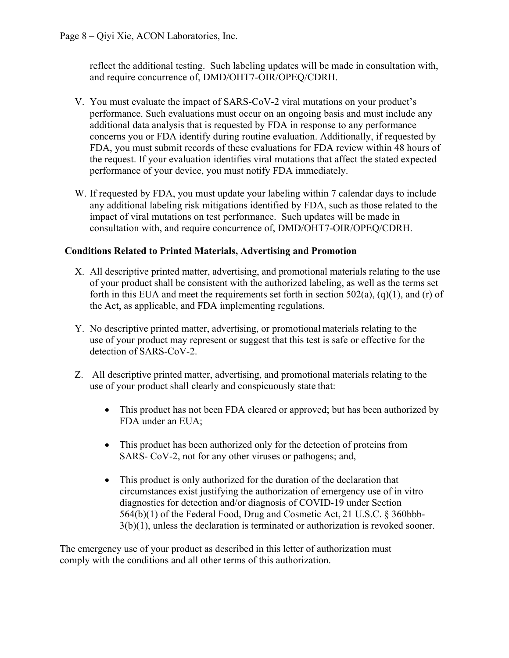reflect the additional testing. Such labeling updates will be made in consultation with, and require concurrence of, DMD/OHT7-OIR/OPEQ/CDRH.

- V. You must evaluate the impact of SARS-CoV-2 viral mutations on your product's performance. Such evaluations must occur on an ongoing basis and must include any additional data analysis that is requested by FDA in response to any performance concerns you or FDA identify during routine evaluation. Additionally, if requested by FDA, you must submit records of these evaluations for FDA review within 48 hours of the request. If your evaluation identifies viral mutations that affect the stated expected performance of your device, you must notify FDA immediately.
- W. If requested by FDA, you must update your labeling within 7 calendar days to include any additional labeling risk mitigations identified by FDA, such as those related to the impact of viral mutations on test performance. Such updates will be made in consultation with, and require concurrence of, DMD/OHT7-OIR/OPEQ/CDRH.

#### **Conditions Related to Printed Materials, Advertising and Promotion**

- X. All descriptive printed matter, advertising, and promotional materials relating to the use of your product shall be consistent with the authorized labeling, as well as the terms set forth in this EUA and meet the requirements set forth in section  $502(a)$ ,  $(q)(1)$ , and  $(r)$  of the Act, as applicable, and FDA implementing regulations.
- Y. No descriptive printed matter, advertising, or promotional materials relating to the use of your product may represent or suggest that this test is safe or effective for the detection of SARS-CoV-2.
- Z. All descriptive printed matter, advertising, and promotional materials relating to the use of your product shall clearly and conspicuously state that:
	- This product has not been FDA cleared or approved; but has been authorized by FDA under an EUA;
	- This product has been authorized only for the detection of proteins from SARS- CoV-2, not for any other viruses or pathogens; and,
	- This product is only authorized for the duration of the declaration that circumstances exist justifying the authorization of emergency use of in vitro diagnostics for detection and/or diagnosis of COVID-19 under Section 564(b)(1) of the Federal Food, Drug and Cosmetic Act, 21 U.S.C. § 360bbb-3(b)(1), unless the declaration is terminated or authorization is revoked sooner.

The emergency use of your product as described in this letter of authorization must comply with the conditions and all other terms of this authorization.